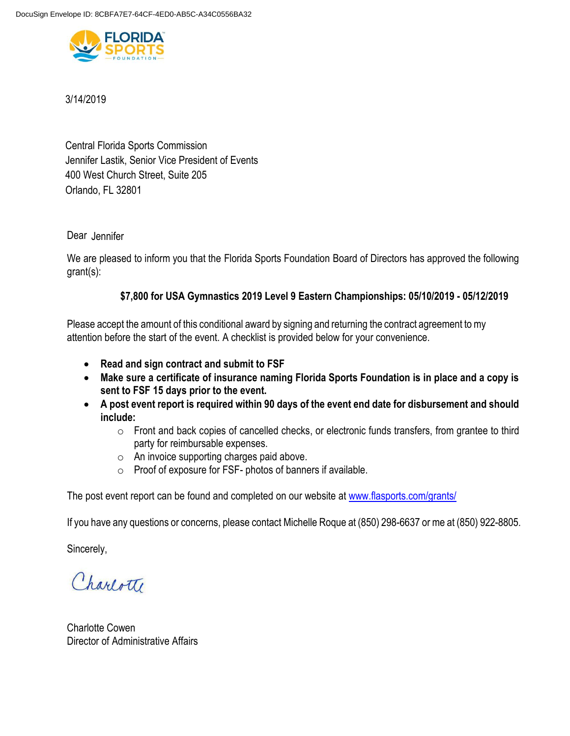

# 3/14/2019

Central Florida Sports Commission Orlando, FL 32801 400 West Church Street, Suite 205 Jennifer Lastik, Senior Vice President of Events

# Dear Jennifer

We are pleased to inform you that the Florida Sports Foundation Board of Directors has approved the following grant(s):

# **\$7,800 for USA Gymnastics 2019 Level 9 Eastern Championships: 05/10/2019 - 05/12/2019**

Please accept the amount of this conditional award by signing and returning the contract agreement to my attention before the start of the event. A checklist is provided below for your convenience.

- **Read and sign contract and submit to FSF**
- **Make sure a certificate of insurance naming Florida Sports Foundation is in place and a copy is sent to FSF 15 days prior to the event.**
- **A post event report is required within 90 days of the event end date for disbursement and should include:**
	- o Front and back copies of cancelled checks, or electronic funds transfers, from grantee to third party for reimbursable expenses.
	- o An invoice supporting charges paid above.
	- o Proof of exposure for FSF- photos of banners if available.

The post event report can be found and completed on our website at [www.flasports.com/grants/](http://www.flasports.com/grants/)

If you have any questions or concerns, please contact Michelle Roque at (850) 298-6637 or me at (850) 922-8805.

Sincerely,

Charlotte

Charlotte Cowen Director of Administrative Affairs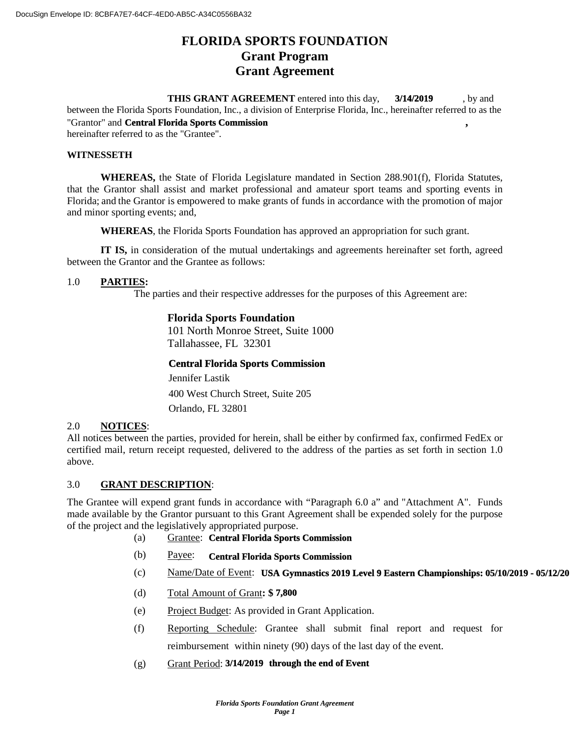# **FLORIDA SPORTS FOUNDATION Grant Program Grant Agreement**

**THIS GRANT AGREEMENT** entered into this day, **3/14/2019** by and between the Florida Sports Foundation, Inc., a division of Enterprise Florida, Inc., hereinafter referred to as the "Grantor" and **Central Florida Sports Commission**, hereinafter referred to as the "Grantee". **3/14/2019**

#### **WITNESSETH**

**WHEREAS,** the State of Florida Legislature mandated in Section 288.901(f), Florida Statutes, that the Grantor shall assist and market professional and amateur sport teams and sporting events in Florida; and the Grantor is empowered to make grants of funds in accordance with the promotion of major and minor sporting events; and,

**WHEREAS**, the Florida Sports Foundation has approved an appropriation for such grant.

**IT IS,** in consideration of the mutual undertakings and agreements hereinafter set forth, agreed between the Grantor and the Grantee as follows:

#### 1.0 **PARTIES:**

The parties and their respective addresses for the purposes of this Agreement are:

# **Florida Sports Foundation**

101 North Monroe Street, Suite 1000 Tallahassee, FL 32301

#### **Central Florida Sports Commission**

400 West Church Street, Suite 205 Orlando, FL 32801 Jennifer Lastik

#### 2.0 **NOTICES**:

All notices between the parties, provided for herein, shall be either by confirmed fax, confirmed FedEx or certified mail, return receipt requested, delivered to the address of the parties as set forth in section 1.0 above.

#### 3.0 **GRANT DESCRIPTION**:

The Grantee will expend grant funds in accordance with "Paragraph 6.0 a" and "Attachment A". Funds made available by the Grantor pursuant to this Grant Agreement shall be expended solely for the purpose of the project and the legislatively appropriated purpose.

- (a) Grantee: **Central Florida Sports Commission**
- (b) Payee: **Central Florida Sports Commission**
- (c) Mame/Date of Event: USA Gymnastics 2019 Level 9 Eastern Championships: 05/10/2019 05/12/20
- (d) Total Amount of Grant**: \$ 7,800**
- (e) Project Budget: As provided in Grant Application.
- (f) Reporting Schedule: Grantee shall submit final report and request for reimbursement within ninety (90) days of the last day of the event.
- (g) Grant Period: **3/14/2019 through the end of Event**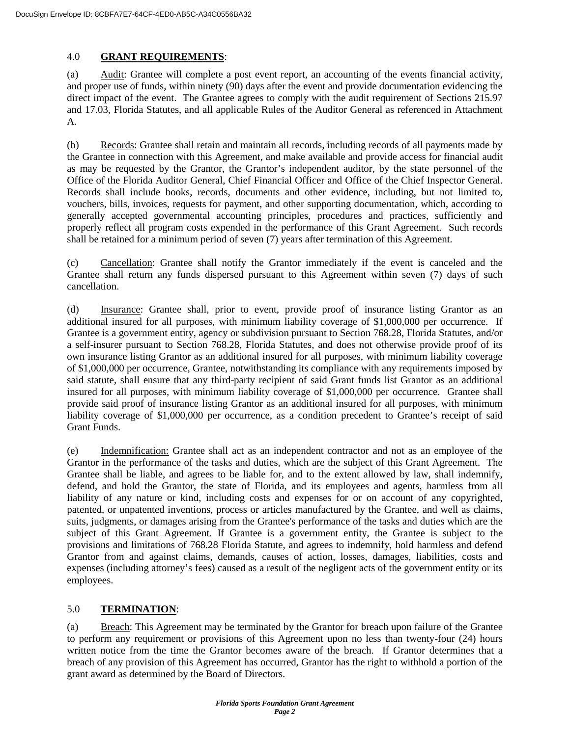# 4.0 **GRANT REQUIREMENTS**:

(a) Audit: Grantee will complete a post event report, an accounting of the events financial activity, and proper use of funds, within ninety (90) days after the event and provide documentation evidencing the direct impact of the event. The Grantee agrees to comply with the audit requirement of Sections 215.97 and 17.03, Florida Statutes, and all applicable Rules of the Auditor General as referenced in Attachment A.

(b) Records: Grantee shall retain and maintain all records, including records of all payments made by the Grantee in connection with this Agreement, and make available and provide access for financial audit as may be requested by the Grantor, the Grantor's independent auditor, by the state personnel of the Office of the Florida Auditor General, Chief Financial Officer and Office of the Chief Inspector General. Records shall include books, records, documents and other evidence, including, but not limited to, vouchers, bills, invoices, requests for payment, and other supporting documentation, which, according to generally accepted governmental accounting principles, procedures and practices, sufficiently and properly reflect all program costs expended in the performance of this Grant Agreement. Such records shall be retained for a minimum period of seven (7) years after termination of this Agreement.

(c) Cancellation: Grantee shall notify the Grantor immediately if the event is canceled and the Grantee shall return any funds dispersed pursuant to this Agreement within seven (7) days of such cancellation.

(d) Insurance: Grantee shall, prior to event, provide proof of insurance listing Grantor as an additional insured for all purposes, with minimum liability coverage of \$1,000,000 per occurrence. If Grantee is a government entity, agency or subdivision pursuant to Section 768.28, Florida Statutes, and/or a self-insurer pursuant to Section 768.28, Florida Statutes, and does not otherwise provide proof of its own insurance listing Grantor as an additional insured for all purposes, with minimum liability coverage of \$1,000,000 per occurrence, Grantee, notwithstanding its compliance with any requirements imposed by said statute, shall ensure that any third-party recipient of said Grant funds list Grantor as an additional insured for all purposes, with minimum liability coverage of \$1,000,000 per occurrence. Grantee shall provide said proof of insurance listing Grantor as an additional insured for all purposes, with minimum liability coverage of \$1,000,000 per occurrence, as a condition precedent to Grantee's receipt of said Grant Funds.

(e) Indemnification: Grantee shall act as an independent contractor and not as an employee of the Grantor in the performance of the tasks and duties, which are the subject of this Grant Agreement. The Grantee shall be liable, and agrees to be liable for, and to the extent allowed by law, shall indemnify, defend, and hold the Grantor, the state of Florida, and its employees and agents, harmless from all liability of any nature or kind, including costs and expenses for or on account of any copyrighted, patented, or unpatented inventions, process or articles manufactured by the Grantee, and well as claims, suits, judgments, or damages arising from the Grantee's performance of the tasks and duties which are the subject of this Grant Agreement. If Grantee is a government entity, the Grantee is subject to the provisions and limitations of 768.28 Florida Statute, and agrees to indemnify, hold harmless and defend Grantor from and against claims, demands, causes of action, losses, damages, liabilities, costs and expenses (including attorney's fees) caused as a result of the negligent acts of the government entity or its employees.

## 5.0 **TERMINATION**:

(a) Breach: This Agreement may be terminated by the Grantor for breach upon failure of the Grantee to perform any requirement or provisions of this Agreement upon no less than twenty-four (24) hours written notice from the time the Grantor becomes aware of the breach. If Grantor determines that a breach of any provision of this Agreement has occurred, Grantor has the right to withhold a portion of the grant award as determined by the Board of Directors.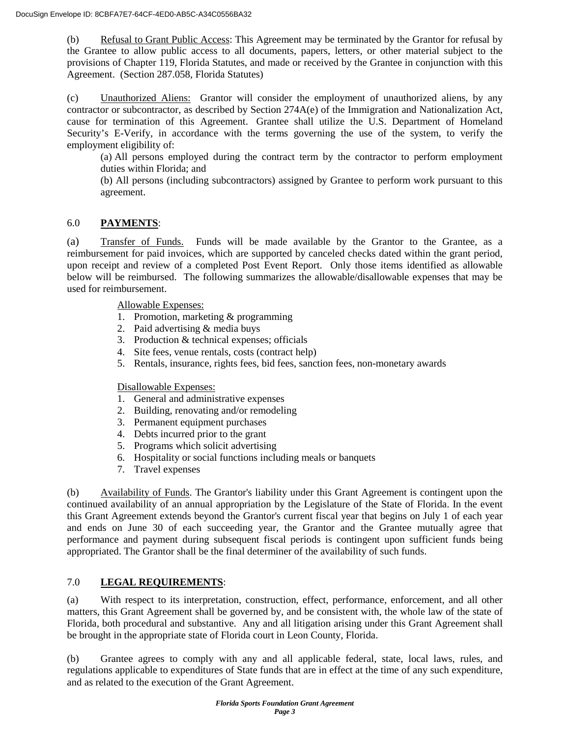(b) Refusal to Grant Public Access: This Agreement may be terminated by the Grantor for refusal by the Grantee to allow public access to all documents, papers, letters, or other material subject to the provisions of Chapter 119, Florida Statutes, and made or received by the Grantee in conjunction with this Agreement. (Section 287.058, Florida Statutes)

(c) Unauthorized Aliens: Grantor will consider the employment of unauthorized aliens, by any contractor or subcontractor, as described by Section 274A(e) of the Immigration and Nationalization Act, cause for termination of this Agreement. Grantee shall utilize the U.S. Department of Homeland Security's E-Verify, in accordance with the terms governing the use of the system, to verify the employment eligibility of:

(a) All persons employed during the contract term by the contractor to perform employment duties within Florida; and

(b) All persons (including subcontractors) assigned by Grantee to perform work pursuant to this agreement.

# 6.0 **PAYMENTS**:

(a) Transfer of Funds. Funds will be made available by the Grantor to the Grantee, as a reimbursement for paid invoices, which are supported by canceled checks dated within the grant period, upon receipt and review of a completed Post Event Report. Only those items identified as allowable below will be reimbursed. The following summarizes the allowable/disallowable expenses that may be used for reimbursement.

Allowable Expenses:

- 1. Promotion, marketing & programming
- 2. Paid advertising & media buys
- 3. Production & technical expenses; officials
- 4. Site fees, venue rentals, costs (contract help)
- 5. Rentals, insurance, rights fees, bid fees, sanction fees, non-monetary awards

Disallowable Expenses:

- 1. General and administrative expenses
- 2. Building, renovating and/or remodeling
- 3. Permanent equipment purchases
- 4. Debts incurred prior to the grant
- 5. Programs which solicit advertising
- 6. Hospitality or social functions including meals or banquets
- 7. Travel expenses

(b) Availability of Funds. The Grantor's liability under this Grant Agreement is contingent upon the continued availability of an annual appropriation by the Legislature of the State of Florida. In the event this Grant Agreement extends beyond the Grantor's current fiscal year that begins on July 1 of each year and ends on June 30 of each succeeding year, the Grantor and the Grantee mutually agree that performance and payment during subsequent fiscal periods is contingent upon sufficient funds being appropriated. The Grantor shall be the final determiner of the availability of such funds.

## 7.0 **LEGAL REQUIREMENTS**:

(a) With respect to its interpretation, construction, effect, performance, enforcement, and all other matters, this Grant Agreement shall be governed by, and be consistent with, the whole law of the state of Florida, both procedural and substantive. Any and all litigation arising under this Grant Agreement shall be brought in the appropriate state of Florida court in Leon County, Florida.

(b) Grantee agrees to comply with any and all applicable federal, state, local laws, rules, and regulations applicable to expenditures of State funds that are in effect at the time of any such expenditure, and as related to the execution of the Grant Agreement.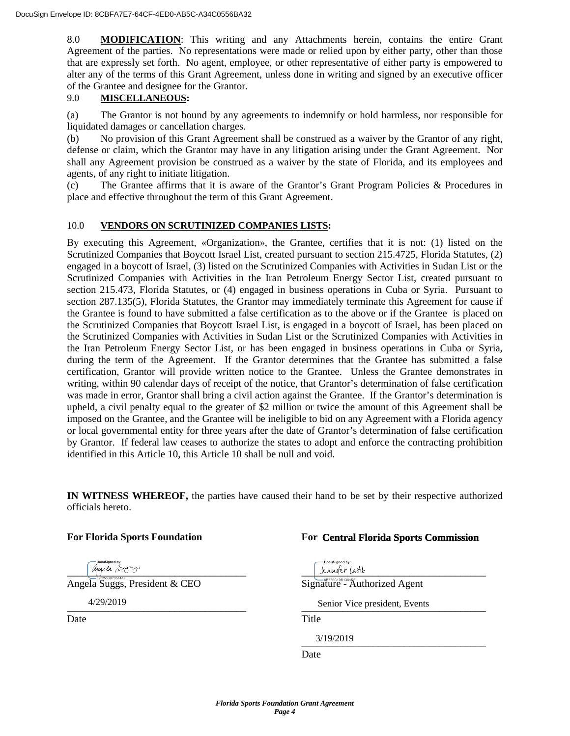8.0 **MODIFICATION**: This writing and any Attachments herein, contains the entire Grant Agreement of the parties. No representations were made or relied upon by either party, other than those that are expressly set forth. No agent, employee, or other representative of either party is empowered to alter any of the terms of this Grant Agreement, unless done in writing and signed by an executive officer of the Grantee and designee for the Grantor.

## 9.0 **MISCELLANEOUS:**

(a) The Grantor is not bound by any agreements to indemnify or hold harmless, nor responsible for liquidated damages or cancellation charges.

(b) No provision of this Grant Agreement shall be construed as a waiver by the Grantor of any right, defense or claim, which the Grantor may have in any litigation arising under the Grant Agreement. Nor shall any Agreement provision be construed as a waiver by the state of Florida, and its employees and agents, of any right to initiate litigation.

(c) The Grantee affirms that it is aware of the Grantor's Grant Program Policies & Procedures in place and effective throughout the term of this Grant Agreement.

# 10.0 **VENDORS ON SCRUTINIZED COMPANIES LISTS:**

By executing this Agreement, «Organization», the Grantee, certifies that it is not: (1) listed on the Scrutinized Companies that Boycott Israel List, created pursuant to section 215.4725, Florida Statutes, (2) engaged in a boycott of Israel, (3) listed on the Scrutinized Companies with Activities in Sudan List or the Scrutinized Companies with Activities in the Iran Petroleum Energy Sector List, created pursuant to section 215.473, Florida Statutes, or (4) engaged in business operations in Cuba or Syria. Pursuant to section 287.135(5), Florida Statutes, the Grantor may immediately terminate this Agreement for cause if the Grantee is found to have submitted a false certification as to the above or if the Grantee is placed on the Scrutinized Companies that Boycott Israel List, is engaged in a boycott of Israel, has been placed on the Scrutinized Companies with Activities in Sudan List or the Scrutinized Companies with Activities in the Iran Petroleum Energy Sector List, or has been engaged in business operations in Cuba or Syria, during the term of the Agreement. If the Grantor determines that the Grantee has submitted a false certification, Grantor will provide written notice to the Grantee. Unless the Grantee demonstrates in writing, within 90 calendar days of receipt of the notice, that Grantor's determination of false certification was made in error, Grantor shall bring a civil action against the Grantee. If the Grantor's determination is upheld, a civil penalty equal to the greater of \$2 million or twice the amount of this Agreement shall be imposed on the Grantee, and the Grantee will be ineligible to bid on any Agreement with a Florida agency or local governmental entity for three years after the date of Grantor's determination of false certification by Grantor. If federal law ceases to authorize the states to adopt and enforce the contracting prohibition identified in this Article 10, this Article 10 shall be null and void.

**IN WITNESS WHEREOF,** the parties have caused their hand to be set by their respective authorized officials hereto.

## **For Florida Sports Foundation For**

# **Central Florida Sports Commission**

 $\mu_{\text{intra}} \sim 333$ Angela Suggs, President & CEO Signature - Authorized Agent \_\_\_\_\_\_\_\_\_\_\_\_\_\_\_\_\_\_\_\_\_\_\_\_\_\_\_\_\_\_\_\_\_\_\_ \_\_\_\_\_\_\_\_\_\_\_\_\_\_\_\_\_\_\_\_\_\_\_\_\_\_\_\_\_\_\_\_\_\_\_\_ 4/29/2019 Senior Vice president, EventsDate Title  $3/19/2019$ 3/19/2019